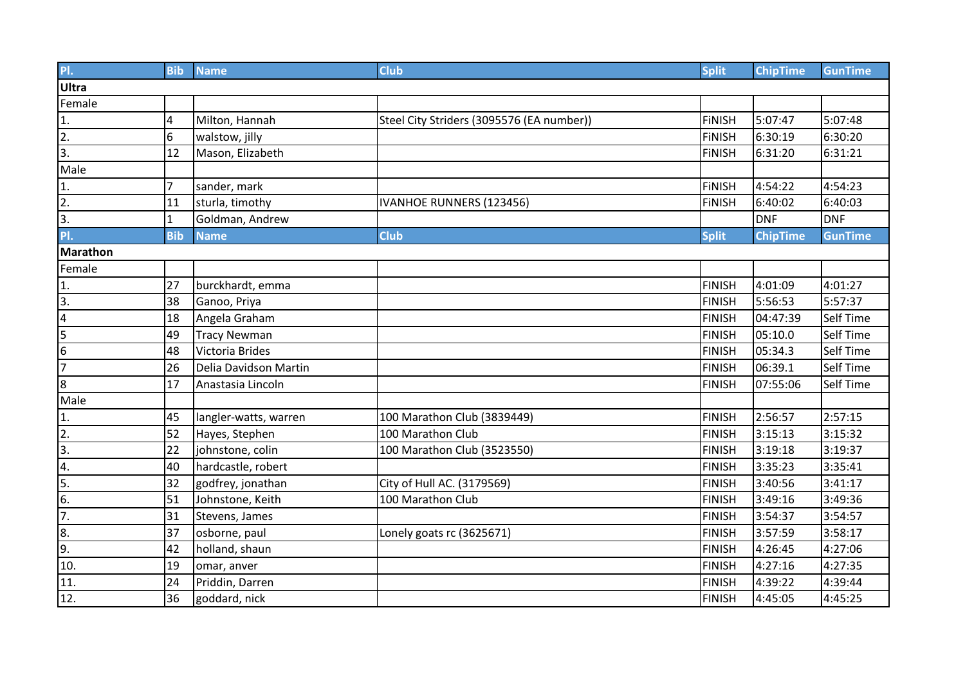| PI.               | <b>Bib</b>     | <b>Name</b>           | <b>Club</b>                               | <b>Split</b>  | <b>ChipTime</b> | <b>GunTime</b>   |
|-------------------|----------------|-----------------------|-------------------------------------------|---------------|-----------------|------------------|
| Ultra             |                |                       |                                           |               |                 |                  |
| Female            |                |                       |                                           |               |                 |                  |
| 1.                | 4              | Milton, Hannah        | Steel City Striders (3095576 (EA number)) | <b>FINISH</b> | 5:07:47         | 5:07:48          |
| $\overline{2}$ .  | 6              | walstow, jilly        |                                           | <b>FINISH</b> | 6:30:19         | 6:30:20          |
| $\overline{3}$ .  | 12             | Mason, Elizabeth      |                                           | <b>FINISH</b> | 6:31:20         | 6:31:21          |
| Male              |                |                       |                                           |               |                 |                  |
| 1.                | $\overline{7}$ | sander, mark          |                                           | <b>FINISH</b> | 4:54:22         | 4:54:23          |
| 2.                | 11             | sturla, timothy       | IVANHOE RUNNERS (123456)                  | <b>FINISH</b> | 6:40:02         | 6:40:03          |
| $\overline{3}$ .  | 1              | Goldman, Andrew       |                                           |               | <b>DNF</b>      | <b>DNF</b>       |
| PI.               | <b>Bib</b>     | <b>Name</b>           | <b>Club</b>                               | <b>Split</b>  | <b>ChipTime</b> | <b>GunTime</b>   |
| <b>Marathon</b>   |                |                       |                                           |               |                 |                  |
| Female            |                |                       |                                           |               |                 |                  |
| 1.                | 27             | burckhardt, emma      |                                           | <b>FINISH</b> | 4:01:09         | 4:01:27          |
| $\overline{3}$ .  | 38             | Ganoo, Priya          |                                           | <b>FINISH</b> | 5:56:53         | 5:57:37          |
| $\overline{4}$    | 18             | Angela Graham         |                                           | <b>FINISH</b> | 04:47:39        | <b>Self Time</b> |
| 5                 | 49             | <b>Tracy Newman</b>   |                                           | <b>FINISH</b> | 05:10.0         | <b>Self Time</b> |
| 6                 | 48             | Victoria Brides       |                                           | <b>FINISH</b> | 05:34.3         | <b>Self Time</b> |
| $\overline{7}$    | 26             | Delia Davidson Martin |                                           | <b>FINISH</b> | 06:39.1         | <b>Self Time</b> |
| $\overline{8}$    | 17             | Anastasia Lincoln     |                                           | <b>FINISH</b> | 07:55:06        | Self Time        |
| Male              |                |                       |                                           |               |                 |                  |
| 1.                | 45             | langler-watts, warren | 100 Marathon Club (3839449)               | <b>FINISH</b> | 2:56:57         | 2:57:15          |
| $\overline{2}$ .  | 52             | Hayes, Stephen        | 100 Marathon Club                         | <b>FINISH</b> | 3:15:13         | 3:15:32          |
| 3.                | 22             | johnstone, colin      | 100 Marathon Club (3523550)               | <b>FINISH</b> | 3:19:18         | 3:19:37          |
| 4.                | 40             | hardcastle, robert    |                                           | <b>FINISH</b> | 3:35:23         | 3:35:41          |
| 5.                | 32             | godfrey, jonathan     | City of Hull AC. (3179569)                | <b>FINISH</b> | 3:40:56         | 3:41:17          |
| 6.                | 51             | Johnstone, Keith      | 100 Marathon Club                         | <b>FINISH</b> | 3:49:16         | 3:49:36          |
| $\overline{7}$ .  | 31             | Stevens, James        |                                           | <b>FINISH</b> | 3:54:37         | 3:54:57          |
| 8.                | 37             | osborne, paul         | Lonely goats rc (3625671)                 | <b>FINISH</b> | 3:57:59         | 3:58:17          |
| $\overline{9}$ .  | 42             | holland, shaun        |                                           | <b>FINISH</b> | 4:26:45         | 4:27:06          |
| 10.               | 19             | omar, anver           |                                           | <b>FINISH</b> | 4:27:16         | 4:27:35          |
| 11.               | 24             | Priddin, Darren       |                                           | <b>FINISH</b> | 4:39:22         | 4:39:44          |
| $\overline{12}$ . | 36             | goddard, nick         |                                           | <b>FINISH</b> | 4:45:05         | 4:45:25          |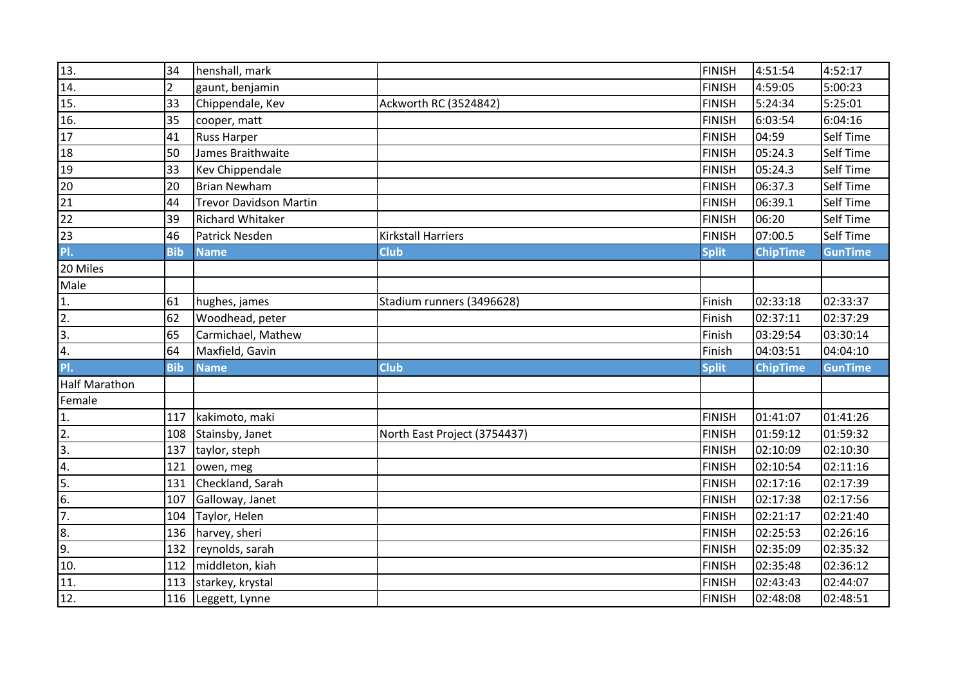| 13.                  | 34             | henshall, mark         |                              | <b>FINISH</b> | 4:51:54         | 4:52:17        |
|----------------------|----------------|------------------------|------------------------------|---------------|-----------------|----------------|
| 14.                  | $\overline{2}$ | gaunt, benjamin        |                              | <b>FINISH</b> | 4:59:05         | 5:00:23        |
| 15.                  | 33             | Chippendale, Kev       | Ackworth RC (3524842)        | <b>FINISH</b> | 5:24:34         | 5:25:01        |
| 16.                  | 35             | cooper, matt           |                              | <b>FINISH</b> | 6:03:54         | 6:04:16        |
| 17                   | 41             | <b>Russ Harper</b>     |                              | <b>FINISH</b> | 04:59           | Self Time      |
| 18                   | 50             | James Braithwaite      |                              | <b>FINISH</b> | 05:24.3         | Self Time      |
| 19                   | 33             | Kev Chippendale        |                              | <b>FINISH</b> | 05:24.3         | Self Time      |
| 20                   | 20             | Brian Newham           |                              | <b>FINISH</b> | 06:37.3         | Self Time      |
| 21                   | 44             | Trevor Davidson Martin |                              | <b>FINISH</b> | 06:39.1         | Self Time      |
| 22                   | 39             | Richard Whitaker       |                              | <b>FINISH</b> | 06:20           | Self Time      |
| 23                   | 46             | Patrick Nesden         | <b>Kirkstall Harriers</b>    | <b>FINISH</b> | 07:00.5         | Self Time      |
| PI.                  | <b>Bib</b>     | <b>Name</b>            | <b>Club</b>                  | <b>Split</b>  | <b>ChipTime</b> | <b>GunTime</b> |
| 20 Miles             |                |                        |                              |               |                 |                |
| Male                 |                |                        |                              |               |                 |                |
| 1.                   | 61             | hughes, james          | Stadium runners (3496628)    | Finish        | 02:33:18        | 02:33:37       |
| $\overline{2}$       | 62             | Woodhead, peter        |                              | Finish        | 02:37:11        | 02:37:29       |
| $\overline{3}$ .     | 65             | Carmichael, Mathew     |                              | Finish        | 03:29:54        | 03:30:14       |
| 4.                   | 64             | Maxfield, Gavin        |                              | Finish        | 04:03:51        | 04:04:10       |
| PI.                  | <b>Bib</b>     | <b>Name</b>            | Club                         | <b>Split</b>  | <b>ChipTime</b> | <b>GunTime</b> |
| <b>Half Marathon</b> |                |                        |                              |               |                 |                |
| Female               |                |                        |                              |               |                 |                |
| 1.                   | 117            | kakimoto, maki         |                              | <b>FINISH</b> | 01:41:07        | 01:41:26       |
| $\overline{2}$ .     | 108            | Stainsby, Janet        | North East Project (3754437) | <b>FINISH</b> | 01:59:12        | 01:59:32       |
| $\overline{3}$ .     | 137            | taylor, steph          |                              | <b>FINISH</b> | 02:10:09        | 02:10:30       |
| 4.                   | 121            | owen, meg              |                              | <b>FINISH</b> | 02:10:54        | 02:11:16       |
| 5.                   | 131            | Checkland, Sarah       |                              | <b>FINISH</b> | 02:17:16        | 02:17:39       |
| 6.                   | 107            | Galloway, Janet        |                              | <b>FINISH</b> | 02:17:38        | 02:17:56       |
| $\overline{7}$ .     | 104            | Taylor, Helen          |                              | <b>FINISH</b> | 02:21:17        | 02:21:40       |
| 8.                   | 136            | harvey, sheri          |                              | <b>FINISH</b> | 02:25:53        | 02:26:16       |
| 9.                   | 132            | reynolds, sarah        |                              | <b>FINISH</b> | 02:35:09        | 02:35:32       |
| 10.                  | 112            | middleton, kiah        |                              | <b>FINISH</b> | 02:35:48        | 02:36:12       |
| 11.                  |                | 113   starkey, krystal |                              | <b>FINISH</b> | 02:43:43        | 02:44:07       |
| 12.                  |                | 116 Leggett, Lynne     |                              | <b>FINISH</b> | 02:48:08        | 02:48:51       |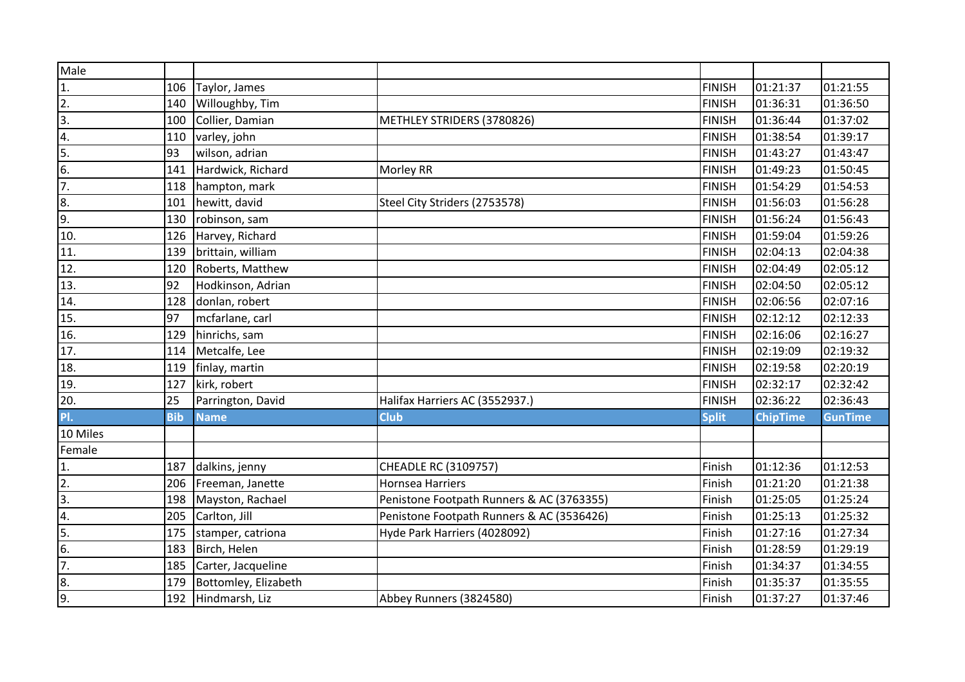| Male             |            |                      |                                           |               |                 |                |
|------------------|------------|----------------------|-------------------------------------------|---------------|-----------------|----------------|
| 1.               | 106        | Taylor, James        |                                           | <b>FINISH</b> | 01:21:37        | 01:21:55       |
| $\overline{2}$ . | 140        | Willoughby, Tim      |                                           | <b>FINISH</b> | 01:36:31        | 01:36:50       |
| $\overline{3}$ . | 100        | Collier, Damian      | METHLEY STRIDERS (3780826)                | <b>FINISH</b> | 01:36:44        | 01:37:02       |
| 4.               | 110        | varley, john         |                                           | <b>FINISH</b> | 01:38:54        | 01:39:17       |
| 5.               | 93         | wilson, adrian       |                                           | <b>FINISH</b> | 01:43:27        | 01:43:47       |
| $\overline{6}$ . | 141        | Hardwick, Richard    | Morley RR                                 | <b>FINISH</b> | 01:49:23        | 01:50:45       |
| $\overline{7}$ . | 118        | hampton, mark        |                                           | <b>FINISH</b> | 01:54:29        | 01:54:53       |
| 8.               | 101        | hewitt, david        | Steel City Striders (2753578)             | <b>FINISH</b> | 01:56:03        | 01:56:28       |
| 9.               | 130        | robinson, sam        |                                           | <b>FINISH</b> | 01:56:24        | 01:56:43       |
| 10.              | 126        | Harvey, Richard      |                                           | <b>FINISH</b> | 01:59:04        | 01:59:26       |
| 11.              | 139        | brittain, william    |                                           | <b>FINISH</b> | 02:04:13        | 02:04:38       |
| 12.              | 120        | Roberts, Matthew     |                                           | <b>FINISH</b> | 02:04:49        | 02:05:12       |
| 13.              | 92         | Hodkinson, Adrian    |                                           | <b>FINISH</b> | 02:04:50        | 02:05:12       |
| 14.              | 128        | donlan, robert       |                                           | <b>FINISH</b> | 02:06:56        | 02:07:16       |
| 15.              | 97         | mcfarlane, carl      |                                           | <b>FINISH</b> | 02:12:12        | 02:12:33       |
| 16.              | 129        | hinrichs, sam        |                                           | <b>FINISH</b> | 02:16:06        | 02:16:27       |
| 17.              | 114        | Metcalfe, Lee        |                                           | <b>FINISH</b> | 02:19:09        | 02:19:32       |
| 18.              | 119        | finlay, martin       |                                           | <b>FINISH</b> | 02:19:58        | 02:20:19       |
| 19.              | 127        | kirk, robert         |                                           | <b>FINISH</b> | 02:32:17        | 02:32:42       |
| 20.              | 25         | Parrington, David    | Halifax Harriers AC (3552937.)            | <b>FINISH</b> | 02:36:22        | 02:36:43       |
| PI.              | <b>Bib</b> | <b>Name</b>          | Club                                      | <b>Split</b>  | <b>ChipTime</b> | <b>GunTime</b> |
| 10 Miles         |            |                      |                                           |               |                 |                |
| Female           |            |                      |                                           |               |                 |                |
| 1.               | 187        | dalkins, jenny       | CHEADLE RC (3109757)                      | Finish        | 01:12:36        | 01:12:53       |
| $\overline{2}$ . | 206        | Freeman, Janette     | Hornsea Harriers                          | Finish        | 01:21:20        | 01:21:38       |
| $\overline{3}$ . | 198        | Mayston, Rachael     | Penistone Footpath Runners & AC (3763355) | Finish        | 01:25:05        | 01:25:24       |
| 4.               | 205        | Carlton, Jill        | Penistone Footpath Runners & AC (3536426) | Finish        | 01:25:13        | 01:25:32       |
| 5.               | 175        | stamper, catriona    | Hyde Park Harriers (4028092)              | Finish        | 01:27:16        | 01:27:34       |
| 6.               | 183        | Birch, Helen         |                                           | Finish        | 01:28:59        | 01:29:19       |
| $\overline{7}$ . | 185        | Carter, Jacqueline   |                                           | Finish        | 01:34:37        | 01:34:55       |
| 8.               | 179        | Bottomley, Elizabeth |                                           | Finish        | 01:35:37        | 01:35:55       |
| 9.               |            | 192 Hindmarsh, Liz   | Abbey Runners (3824580)                   | Finish        | 01:37:27        | 01:37:46       |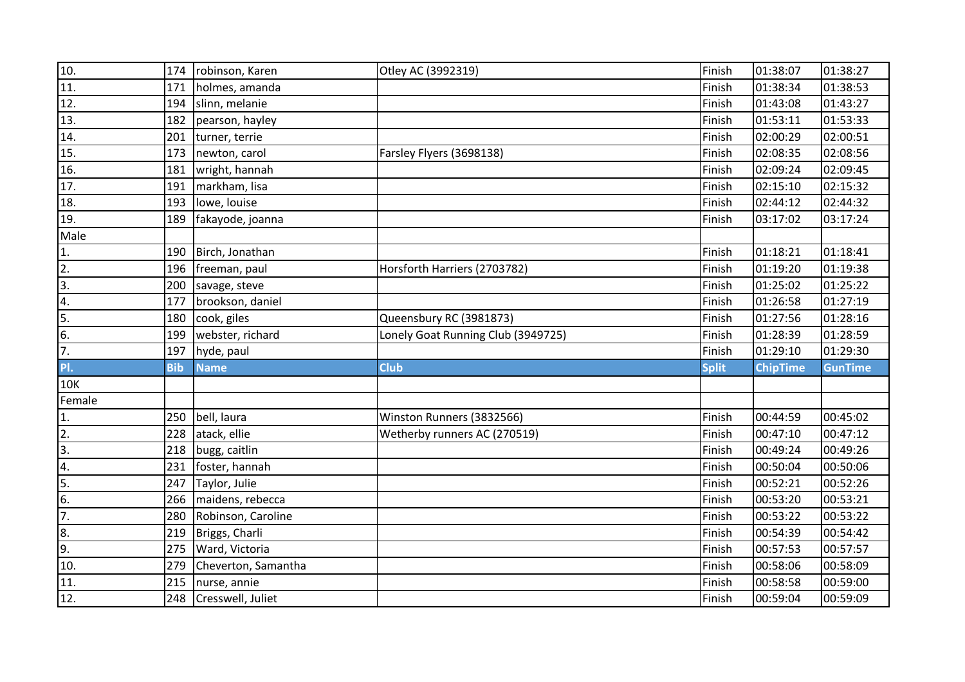| 10.              | 174        | robinson, Karen       | Otley AC (3992319)                 | Finish       | 01:38:07        | 01:38:27       |
|------------------|------------|-----------------------|------------------------------------|--------------|-----------------|----------------|
| 11.              | 171        | holmes, amanda        |                                    | Finish       | 01:38:34        | 01:38:53       |
| 12.              | 194        | slinn, melanie        |                                    | Finish       | 01:43:08        | 01:43:27       |
| 13.              | 182        | pearson, hayley       |                                    | Finish       | 01:53:11        | 01:53:33       |
| 14.              | 201        | turner, terrie        |                                    | Finish       | 02:00:29        | 02:00:51       |
| 15.              | 173        | newton, carol         | Farsley Flyers (3698138)           | Finish       | 02:08:35        | 02:08:56       |
| 16.              | 181        | wright, hannah        |                                    | Finish       | 02:09:24        | 02:09:45       |
| 17.              | 191        | markham, lisa         |                                    | Finish       | 02:15:10        | 02:15:32       |
| 18.              | 193        | lowe, louise          |                                    | Finish       | 02:44:12        | 02:44:32       |
| 19.              | 189        | fakayode, joanna      |                                    | Finish       | 03:17:02        | 03:17:24       |
| Male             |            |                       |                                    |              |                 |                |
| 1.               | 190        | Birch, Jonathan       |                                    | Finish       | 01:18:21        | 01:18:41       |
| $\overline{2}$ . | 196        | freeman, paul         | Horsforth Harriers (2703782)       | Finish       | 01:19:20        | 01:19:38       |
| $\overline{3}$ . | 200        | savage, steve         |                                    | Finish       | 01:25:02        | 01:25:22       |
| 4.               | 177        | brookson, daniel      |                                    | Finish       | 01:26:58        | 01:27:19       |
| 5.               | 180        | cook, giles           | Queensbury RC (3981873)            | Finish       | 01:27:56        | 01:28:16       |
| $\overline{6}$ . | 199        | webster, richard      | Lonely Goat Running Club (3949725) | Finish       | 01:28:39        | 01:28:59       |
| 7.               | 197        | hyde, paul            |                                    | Finish       | 01:29:10        | 01:29:30       |
| PI.              | <b>Bib</b> | <b>Name</b>           | <b>Club</b>                        | <b>Split</b> | <b>ChipTime</b> | <b>GunTime</b> |
| <b>10K</b>       |            |                       |                                    |              |                 |                |
| Female           |            |                       |                                    |              |                 |                |
| 1.               | 250        | bell, laura           | Winston Runners (3832566)          | Finish       | 00:44:59        | 00:45:02       |
| $\overline{2}$ . | 228        | atack, ellie          | Wetherby runners AC (270519)       | Finish       | 00:47:10        | 00:47:12       |
| $\overline{3}$ . |            | 218 bugg, caitlin     |                                    | Finish       | 00:49:24        | 00:49:26       |
| 4.               |            | 231   foster, hannah  |                                    | Finish       | 00:50:04        | 00:50:06       |
| 5.               | 247        | Taylor, Julie         |                                    | Finish       | 00:52:21        | 00:52:26       |
| $\overline{6}$ . | 266        | maidens, rebecca      |                                    | Finish       | 00:53:20        | 00:53:21       |
| $\overline{7}$ . | 280        | Robinson, Caroline    |                                    | Finish       | 00:53:22        | 00:53:22       |
| 8.               | 219        | Briggs, Charli        |                                    | Finish       | 00:54:39        | 00:54:42       |
| 9.               | 275        | Ward, Victoria        |                                    | Finish       | 00:57:53        | 00:57:57       |
| 10.              | 279        | Cheverton, Samantha   |                                    | Finish       | 00:58:06        | 00:58:09       |
| 11.              | 215        | nurse, annie          |                                    | Finish       | 00:58:58        | 00:59:00       |
| 12.              |            | 248 Cresswell, Juliet |                                    | Finish       | 00:59:04        | 00:59:09       |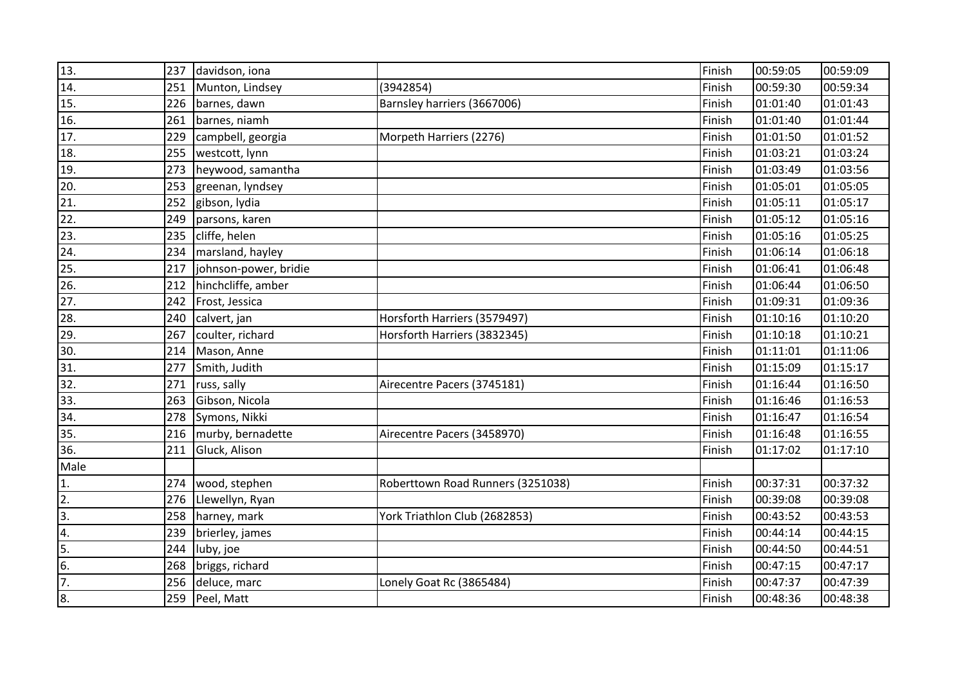| 13.               | 237 | davidson, iona        |                                   | Finish | 00:59:05 | 00:59:09 |
|-------------------|-----|-----------------------|-----------------------------------|--------|----------|----------|
| 14.               | 251 | Munton, Lindsey       | (3942854)                         | Finish | 00:59:30 | 00:59:34 |
| 15.               | 226 | barnes, dawn          | Barnsley harriers (3667006)       | Finish | 01:01:40 | 01:01:43 |
| 16.               | 261 | barnes, niamh         |                                   | Finish | 01:01:40 | 01:01:44 |
| $\overline{17}$ . | 229 | campbell, georgia     | Morpeth Harriers (2276)           | Finish | 01:01:50 | 01:01:52 |
| 18.               | 255 | westcott, lynn        |                                   | Finish | 01:03:21 | 01:03:24 |
| 19.               | 273 | heywood, samantha     |                                   | Finish | 01:03:49 | 01:03:56 |
| $\overline{20}$   | 253 | greenan, lyndsey      |                                   | Finish | 01:05:01 | 01:05:05 |
| $\overline{21}$   |     | 252 gibson, lydia     |                                   | Finish | 01:05:11 | 01:05:17 |
| 22.               | 249 | parsons, karen        |                                   | Finish | 01:05:12 | 01:05:16 |
| 23.               | 235 | cliffe, helen         |                                   | Finish | 01:05:16 | 01:05:25 |
| 24.               | 234 | marsland, hayley      |                                   | Finish | 01:06:14 | 01:06:18 |
| $\overline{25}$   | 217 | johnson-power, bridie |                                   | Finish | 01:06:41 | 01:06:48 |
| 26.               | 212 | hinchcliffe, amber    |                                   | Finish | 01:06:44 | 01:06:50 |
| 27.               | 242 | Frost, Jessica        |                                   | Finish | 01:09:31 | 01:09:36 |
| 28.               | 240 | calvert, jan          | Horsforth Harriers (3579497)      | Finish | 01:10:16 | 01:10:20 |
| 29.               | 267 | coulter, richard      | Horsforth Harriers (3832345)      | Finish | 01:10:18 | 01:10:21 |
| 30.               | 214 | Mason, Anne           |                                   | Finish | 01:11:01 | 01:11:06 |
| 31.               | 277 | Smith, Judith         |                                   | Finish | 01:15:09 | 01:15:17 |
| 32.               | 271 | russ, sally           | Airecentre Pacers (3745181)       | Finish | 01:16:44 | 01:16:50 |
| 33.               | 263 | Gibson, Nicola        |                                   | Finish | 01:16:46 | 01:16:53 |
| 34.               | 278 | Symons, Nikki         |                                   | Finish | 01:16:47 | 01:16:54 |
| 35.               | 216 | murby, bernadette     | Airecentre Pacers (3458970)       | Finish | 01:16:48 | 01:16:55 |
| 36.               | 211 | Gluck, Alison         |                                   | Finish | 01:17:02 | 01:17:10 |
| Male              |     |                       |                                   |        |          |          |
| $\overline{1}$ .  | 274 | wood, stephen         | Roberttown Road Runners (3251038) | Finish | 00:37:31 | 00:37:32 |
| $\overline{2}$ .  | 276 | Llewellyn, Ryan       |                                   | Finish | 00:39:08 | 00:39:08 |
| $\overline{3}$ .  | 258 | harney, mark          | York Triathlon Club (2682853)     | Finish | 00:43:52 | 00:43:53 |
| 4.                | 239 | brierley, james       |                                   | Finish | 00:44:14 | 00:44:15 |
| 5.                | 244 | luby, joe             |                                   | Finish | 00:44:50 | 00:44:51 |
| $\overline{6}$ .  |     | 268 briggs, richard   |                                   | Finish | 00:47:15 | 00:47:17 |
| 7.                |     | 256 deluce, marc      | Lonely Goat Rc (3865484)          | Finish | 00:47:37 | 00:47:39 |
| 8.                |     | 259 Peel, Matt        |                                   | Finish | 00:48:36 | 00:48:38 |